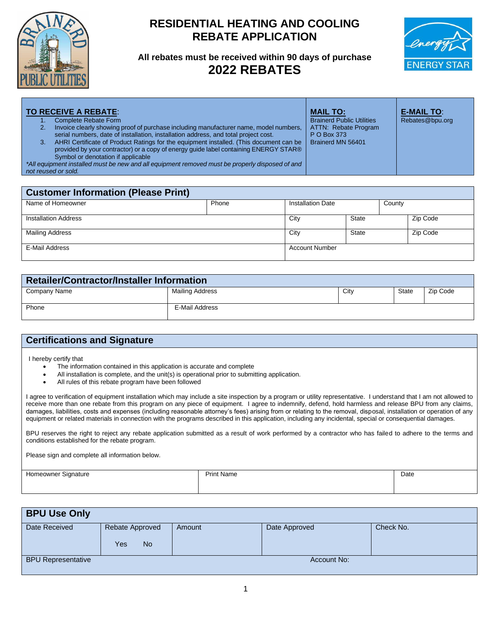

## **RESIDENTIAL HEATING AND COOLING REBATE APPLICATION**

**All rebates must be received within 90 days of purchase 2022 REBATES**



| 3. | <b>TO RECEIVE A REBATE:</b><br>Complete Rebate Form<br>Invoice clearly showing proof of purchase including manufacturer name, model numbers,<br>serial numbers, date of installation, installation address, and total project cost.<br>AHRI Certificate of Product Ratings for the equipment installed. (This document can be<br>provided by your contractor) or a copy of energy quide label containing ENERGY STAR®<br>Symbol or denotation if applicable<br>*All equipment installed must be new and all equipment removed must be properly disposed of and<br>not reused or sold. |       |  | <b>MAIL TO:</b><br><b>Brainerd Public Utilities</b><br>ATTN: Rebate Program<br>P O Box 373<br>Brainerd MN 56401 |        | <b>E-MAIL TO:</b><br>Rebates@bpu.org |
|----|---------------------------------------------------------------------------------------------------------------------------------------------------------------------------------------------------------------------------------------------------------------------------------------------------------------------------------------------------------------------------------------------------------------------------------------------------------------------------------------------------------------------------------------------------------------------------------------|-------|--|-----------------------------------------------------------------------------------------------------------------|--------|--------------------------------------|
|    |                                                                                                                                                                                                                                                                                                                                                                                                                                                                                                                                                                                       |       |  |                                                                                                                 |        |                                      |
|    | <b>Customer Information (Please Print)</b>                                                                                                                                                                                                                                                                                                                                                                                                                                                                                                                                            |       |  |                                                                                                                 |        |                                      |
|    | Name of Homeowner                                                                                                                                                                                                                                                                                                                                                                                                                                                                                                                                                                     | Phone |  | <b>Installation Date</b>                                                                                        | County |                                      |

Installation Address 2ip Code 2ip Code 2ip Code 2ip Code 2ip Code 2ip Code 2ip Code 2ip Code 2ip Code 2ip Code Mailing Address **City** State  $\begin{array}{|c|c|c|c|c|c|}\n\hline\n\text{Mailing Address} & \text{Cip Code} \\
\hline\n\end{array}$ E-Mail Address **Account Number** Account Number

| <b>Retailer/Contractor/Installer Information</b> |                 |      |              |          |  |  |
|--------------------------------------------------|-----------------|------|--------------|----------|--|--|
| Company Name                                     | Mailing Address | City | <b>State</b> | Zip Code |  |  |
| Phone                                            | E-Mail Address  |      |              |          |  |  |

## **Certifications and Signature**

I hereby certify that

- The information contained in this application is accurate and complete
- All installation is complete, and the unit(s) is operational prior to submitting application.
- All rules of this rebate program have been followed

I agree to verification of equipment installation which may include a site inspection by a program or utility representative. I understand that I am not allowed to receive more than one rebate from this program on any piece of equipment. I agree to indemnify, defend, hold harmless and release BPU from any claims, damages, liabilities, costs and expenses (including reasonable attorney's fees) arising from or relating to the removal, disposal, installation or operation of any equipment or related materials in connection with the programs described in this application, including any incidental, special or consequential damages.

BPU reserves the right to reject any rebate application submitted as a result of work performed by a contractor who has failed to adhere to the terms and conditions established for the rebate program.

Please sign and complete all information below.

| Homeowner Signature<br>.<br>. . | <b>Print Name</b> | Date |
|---------------------------------|-------------------|------|
|                                 |                   |      |
|                                 |                   |      |

| <b>BPU Use Only</b>       |                                     |        |               |           |
|---------------------------|-------------------------------------|--------|---------------|-----------|
| Date Received             | Rebate Approved<br><b>No</b><br>Yes | Amount | Date Approved | Check No. |
| <b>BPU Representative</b> |                                     |        | Account No:   |           |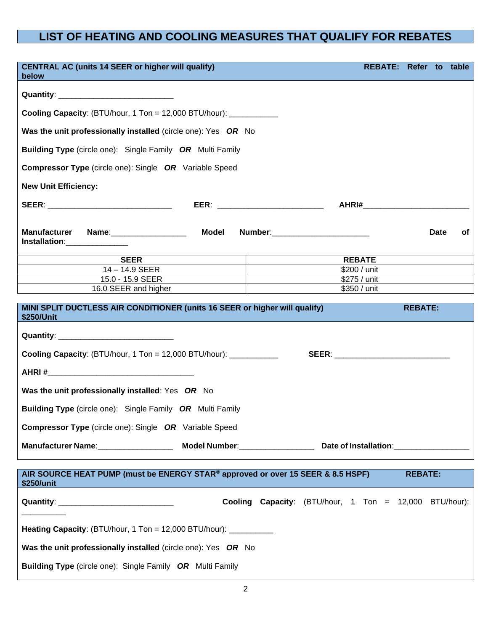## **LIST OF HEATING AND COOLING MEASURES THAT QUALIFY FOR REBATES**

| <b>CENTRAL AC (units 14 SEER or higher will qualify)</b><br>REBATE: Refer to table<br>below                                     |              |  |                                                        |  |                |             |    |  |
|---------------------------------------------------------------------------------------------------------------------------------|--------------|--|--------------------------------------------------------|--|----------------|-------------|----|--|
|                                                                                                                                 |              |  |                                                        |  |                |             |    |  |
| <b>Cooling Capacity:</b> (BTU/hour, 1 Ton = 12,000 BTU/hour): $\frac{1}{1}$                                                     |              |  |                                                        |  |                |             |    |  |
|                                                                                                                                 |              |  |                                                        |  |                |             |    |  |
| Was the unit professionally installed (circle one): Yes OR No                                                                   |              |  |                                                        |  |                |             |    |  |
| <b>Building Type</b> (circle one): Single Family OR Multi Family                                                                |              |  |                                                        |  |                |             |    |  |
| <b>Compressor Type</b> (circle one): Single OR Variable Speed                                                                   |              |  |                                                        |  |                |             |    |  |
| <b>New Unit Efficiency:</b>                                                                                                     |              |  |                                                        |  |                |             |    |  |
| SEER: ______________________________<br>EER: _______________________________                                                    |              |  |                                                        |  |                |             |    |  |
|                                                                                                                                 |              |  |                                                        |  |                |             |    |  |
| <b>Manufacturer</b><br>Name:___________________<br>Installation: 1997                                                           | <b>Model</b> |  | Number:__________________________                      |  |                | <b>Date</b> | оf |  |
| <b>SEER</b>                                                                                                                     |              |  | <b>REBATE</b>                                          |  |                |             |    |  |
| $14 - 14.9$ SEER                                                                                                                |              |  | \$200 / unit                                           |  |                |             |    |  |
| 15.0 - 15.9 SEER                                                                                                                |              |  | \$275 / unit                                           |  |                |             |    |  |
| 16.0 SEER and higher management of the state of the state of the state of the state of the state of the state o<br>\$350 / unit |              |  |                                                        |  |                |             |    |  |
|                                                                                                                                 |              |  |                                                        |  |                |             |    |  |
| MINI SPLIT DUCTLESS AIR CONDITIONER (units 16 SEER or higher will qualify)<br>\$250/Unit<br><b>Service Service</b>              |              |  |                                                        |  | <b>REBATE:</b> |             |    |  |
|                                                                                                                                 |              |  |                                                        |  |                |             |    |  |
| <b>Cooling Capacity:</b> (BTU/hour, 1 Ton = 12,000 BTU/hour): $\frac{1}{2}$                                                     |              |  | <b>SEER: ______________________________</b>            |  |                |             |    |  |
|                                                                                                                                 |              |  |                                                        |  |                |             |    |  |
| Was the unit professionally installed: Yes OR No                                                                                |              |  |                                                        |  |                |             |    |  |
| Building Type (circle one): Single Family OR Multi Family                                                                       |              |  |                                                        |  |                |             |    |  |
| <b>Compressor Type</b> (circle one): Single OR Variable Speed                                                                   |              |  |                                                        |  |                |             |    |  |
|                                                                                                                                 |              |  |                                                        |  |                |             |    |  |
|                                                                                                                                 |              |  |                                                        |  |                |             |    |  |
| AIR SOURCE HEAT PUMP (must be ENERGY STAR® approved or over 15 SEER & 8.5 HSPF)<br>\$250/unit                                   |              |  |                                                        |  | <b>REBATE:</b> |             |    |  |
|                                                                                                                                 |              |  | Cooling Capacity: (BTU/hour, 1 Ton = 12,000 BTU/hour): |  |                |             |    |  |
|                                                                                                                                 |              |  |                                                        |  |                |             |    |  |
| Heating Capacity: (BTU/hour, 1 Ton = 12,000 BTU/hour): __________                                                               |              |  |                                                        |  |                |             |    |  |
| Was the unit professionally installed (circle one): Yes OR No                                                                   |              |  |                                                        |  |                |             |    |  |
| <b>Building Type</b> (circle one): Single Family OR Multi Family                                                                |              |  |                                                        |  |                |             |    |  |
|                                                                                                                                 |              |  |                                                        |  |                |             |    |  |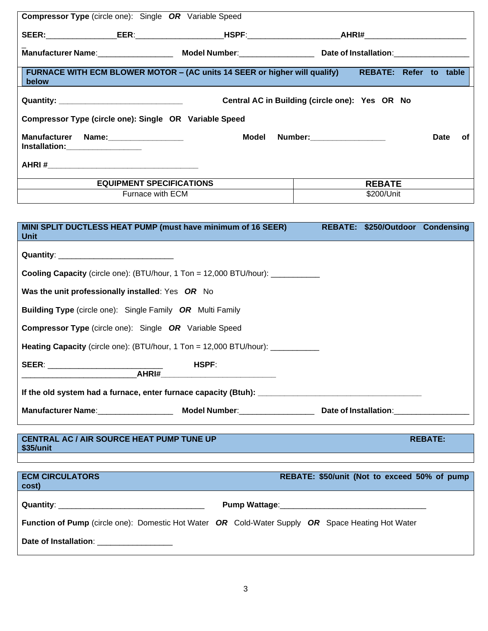| <b>Compressor Type</b> (circle one): Single OR Variable Speed                      |                                                                                                                                                                                                                                |                        |             |    |
|------------------------------------------------------------------------------------|--------------------------------------------------------------------------------------------------------------------------------------------------------------------------------------------------------------------------------|------------------------|-------------|----|
| SEER:         EER:           HSPF:            AHRI#                                |                                                                                                                                                                                                                                |                        |             |    |
|                                                                                    |                                                                                                                                                                                                                                |                        |             |    |
| FURNACE WITH ECM BLOWER MOTOR - (AC units 14 SEER or higher will qualify)<br>below |                                                                                                                                                                                                                                | REBATE: Refer to table |             |    |
|                                                                                    | Central AC in Building (circle one): Yes OR No                                                                                                                                                                                 |                        |             |    |
| Compressor Type (circle one): Single OR Variable Speed                             |                                                                                                                                                                                                                                |                        |             |    |
| <b>Manufacturer Name:</b> Name:<br>Installation:____________________               | Model Number: when the state of the state of the state of the state of the state of the state of the state of the state of the state of the state of the state of the state of the state of the state of the state of the stat |                        | <b>Date</b> | 0f |
|                                                                                    |                                                                                                                                                                                                                                |                        |             |    |
| <b>EQUIPMENT SPECIFICATIONS</b>                                                    |                                                                                                                                                                                                                                | <b>REBATE</b>          |             |    |
| Furnace with ECM                                                                   |                                                                                                                                                                                                                                | \$200/Unit             |             |    |

| <b>Unit</b>                                                      | MINI SPLIT DUCTLESS HEAT PUMP (must have minimum of 16 SEER)                                                                  |                                              | REBATE: \$250/Outdoor Condensing |                |
|------------------------------------------------------------------|-------------------------------------------------------------------------------------------------------------------------------|----------------------------------------------|----------------------------------|----------------|
|                                                                  |                                                                                                                               |                                              |                                  |                |
|                                                                  | Cooling Capacity (circle one): (BTU/hour, 1 Ton = 12,000 BTU/hour): ____________                                              |                                              |                                  |                |
| Was the unit professionally installed: Yes OR No                 |                                                                                                                               |                                              |                                  |                |
| <b>Building Type</b> (circle one): Single Family OR Multi Family |                                                                                                                               |                                              |                                  |                |
| <b>Compressor Type</b> (circle one): Single OR Variable Speed    |                                                                                                                               |                                              |                                  |                |
|                                                                  | <b>Heating Capacity</b> (circle one): (BTU/hour, 1 Ton = 12,000 BTU/hour): ___________                                        |                                              |                                  |                |
|                                                                  | HSPF:<br><u> 1980 - Jan James James Barbara, martxa a shekara 1980 - 1981 - 1982 - 1982 - 1982 - 1982 - 1982 - 1982 - 198</u> |                                              |                                  |                |
|                                                                  |                                                                                                                               |                                              |                                  |                |
|                                                                  | Manufacturer Name: Molel Number: Model Number: Date of Installation: Manufacturer Name: Model Number:                         |                                              |                                  |                |
|                                                                  |                                                                                                                               |                                              |                                  |                |
| <b>CENTRAL AC / AIR SOURCE HEAT PUMP TUNE UP</b><br>\$35/unit    |                                                                                                                               |                                              |                                  | <b>REBATE:</b> |
|                                                                  |                                                                                                                               |                                              |                                  |                |
| <b>ECM CIRCULATORS</b><br>cost)                                  |                                                                                                                               | REBATE: \$50/unit (Not to exceed 50% of pump |                                  |                |

|                                                                                                                        | <b>Pump Wattage:</b> |  |  |  |
|------------------------------------------------------------------------------------------------------------------------|----------------------|--|--|--|
| <b>Function of Pump</b> (circle one): Domestic Hot Water <b>OR</b> Cold-Water Supply <b>OR</b> Space Heating Hot Water |                      |  |  |  |
| Date of Installation:                                                                                                  |                      |  |  |  |